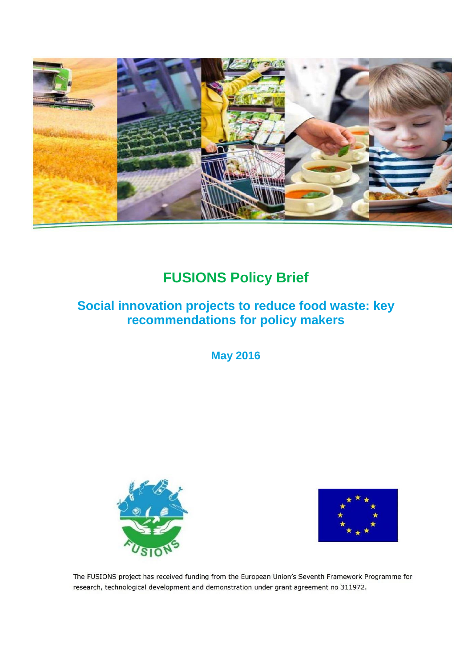

# **FUSIONS Policy Brief**

## **Social innovation projects to reduce food waste: key recommendations for policy makers**

**May 2016**





The FUSIONS project has received funding from the European Union's Seventh Framework Programme for research, technological development and demonstration under grant agreement no 311972.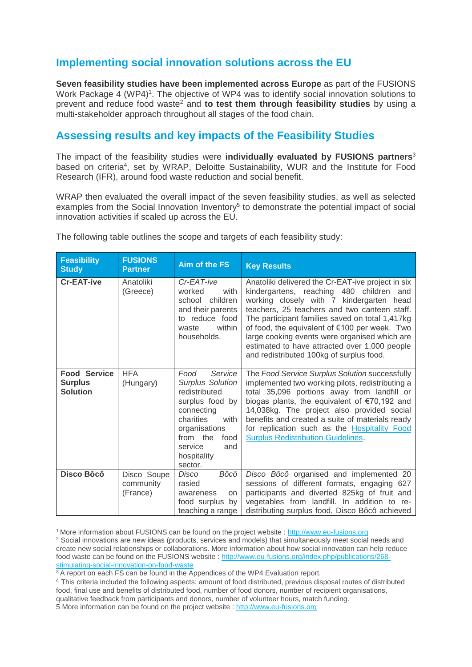## **Implementing social innovation solutions across the EU**

**Seven feasibility studies have been implemented across Europe** as part of the FUSIONS Work Package 4 (WP4)<sup>1</sup>. The objective of WP4 was to identify social innovation solutions to prevent and reduce food waste<sup>2</sup> and **to test them through feasibility studies** by using a multi-stakeholder approach throughout all stages of the food chain.

### **Assessing results and key impacts of the Feasibility Studies**

The impact of the feasibility studies were **individually evaluated by FUSIONS partners**<sup>3</sup> based on criteria<sup>4</sup>, set by WRAP, Deloitte Sustainability, WUR and the Institute for Food Research (IFR), around food waste reduction and social benefit.

WRAP then evaluated the overall impact of the seven feasibility studies, as well as selected examples from the Social Innovation Inventory<sup>5</sup> to demonstrate the potential impact of social innovation activities if scaled up across the EU.

| <b>Feasibility</b><br><b>Study</b>                       | <b>FUSIONS</b><br><b>Partner</b>     | Aim of the FS                                                                                                                                                                                      | <b>Key Results</b>                                                                                                                                                                                                                                                                                                                                                                                                                          |
|----------------------------------------------------------|--------------------------------------|----------------------------------------------------------------------------------------------------------------------------------------------------------------------------------------------------|---------------------------------------------------------------------------------------------------------------------------------------------------------------------------------------------------------------------------------------------------------------------------------------------------------------------------------------------------------------------------------------------------------------------------------------------|
| <b>Cr-EAT-ive</b>                                        | Anatoliki<br>(Greece)                | Cr-EAT-ive<br>worked<br>with<br>children<br>school<br>and their parents<br>to reduce food<br>within<br>waste<br>households.                                                                        | Anatoliki delivered the Cr-EAT-ive project in six<br>kindergartens, reaching 480 children and<br>working closely with 7 kindergarten head<br>teachers, 25 teachers and two canteen staff.<br>The participant families saved on total 1,417kg<br>of food, the equivalent of €100 per week. Two<br>large cooking events were organised which are<br>estimated to have attracted over 1,000 people<br>and redistributed 100kg of surplus food. |
| <b>Food Service</b><br><b>Surplus</b><br><b>Solution</b> | <b>HFA</b><br>(Hungary)              | Food<br>Service<br><b>Surplus Solution</b><br>redistributed<br>surplus food by<br>connecting<br>charities<br>with<br>organisations<br>from the<br>food<br>service<br>and<br>hospitality<br>sector. | The Food Service Surplus Solution successfully<br>implemented two working pilots, redistributing a<br>total 35,096 portions away from landfill or<br>biogas plants, the equivalent of $€70,192$ and<br>14,038kg. The project also provided social<br>benefits and created a suite of materials ready<br>for replication such as the <b>Hospitality Food</b><br><b>Surplus Redistribution Guidelines.</b>                                    |
| Disco Bôcô                                               | Disco Soupe<br>community<br>(France) | Bôcô<br>Disco<br>rasied<br>awareness<br>on<br>food surplus by<br>teaching a range                                                                                                                  | Disco Bôcô organised and implemented 20<br>sessions of different formats, engaging 627<br>participants and diverted 825kg of fruit and<br>vegetables from landfill. In addition to re-<br>distributing surplus food, Disco Bôcô achieved                                                                                                                                                                                                    |

The following table outlines the scope and targets of each feasibility study:

-

<sup>1</sup> More information about FUSIONS can be found on the project website : [http://www.eu-fusions.org](http://www.eu-fusions.org/) 

<sup>&</sup>lt;sup>2</sup> Social innovations are new ideas (products, services and models) that simultaneously meet social needs and create new social relationships or collaborations. More information about how social innovation can help reduce food waste can be found on the FUSIONS website [: http://www.eu-fusions.org/index.php/publications/268](http://www.eu-fusions.org/index.php/publications/268-stimulating-social-innovation-on-food-waste) [stimulating-social-innovation-on-food-waste](http://www.eu-fusions.org/index.php/publications/268-stimulating-social-innovation-on-food-waste)

<sup>&</sup>lt;sup>3</sup> A report on each FS can be found in the Appendices of the WP4 Evaluation report.

<sup>4</sup> This criteria included the following aspects: amount of food distributed, previous disposal routes of distributed food, final use and benefits of distributed food, number of food donors, number of recipient organisations, qualitative feedback from participants and donors, number of volunteer hours, match funding. 5 More information can be found on the project website : [http://www.eu-fusions.org](http://www.eu-fusions.org/)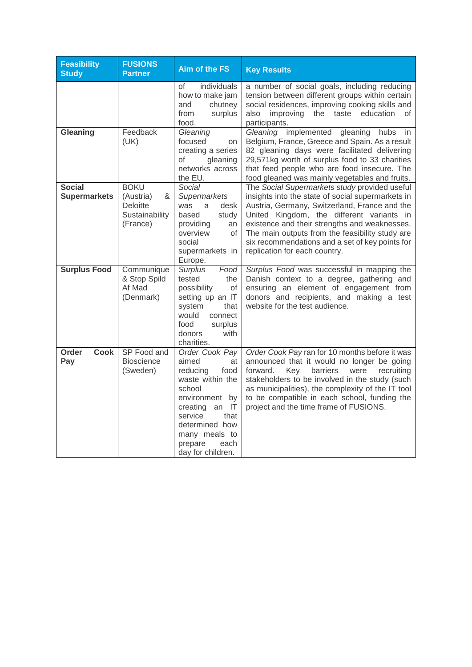| <b>Feasibility</b><br><b>Study</b>   | <b>FUSIONS</b><br><b>Partner</b>                                               | <b>Aim of the FS</b>                                                                                                                                                                                                 | <b>Key Results</b>                                                                                                                                                                                                                                                                                                                                                                       |
|--------------------------------------|--------------------------------------------------------------------------------|----------------------------------------------------------------------------------------------------------------------------------------------------------------------------------------------------------------------|------------------------------------------------------------------------------------------------------------------------------------------------------------------------------------------------------------------------------------------------------------------------------------------------------------------------------------------------------------------------------------------|
|                                      |                                                                                | individuals<br>οf<br>how to make jam<br>chutney<br>and<br>surplus<br>from<br>food.                                                                                                                                   | a number of social goals, including reducing<br>tension between different groups within certain<br>social residences, improving cooking skills and<br>the<br>taste<br>education<br>also<br>improving<br>οf<br>participants.                                                                                                                                                              |
| Gleaning                             | Feedback<br>(UK)                                                               | Gleaning<br>focused<br>on<br>creating a series<br>of<br>gleaning<br>networks across<br>the EU.                                                                                                                       | Gleaning implemented<br>gleaning<br>hubs<br>in<br>Belgium, France, Greece and Spain. As a result<br>82 gleaning days were facilitated delivering<br>29,571kg worth of surplus food to 33 charities<br>that feed people who are food insecure. The<br>food gleaned was mainly vegetables and fruits.                                                                                      |
| <b>Social</b><br><b>Supermarkets</b> | <b>BOKU</b><br>(Austria)<br>&<br><b>Deloitte</b><br>Sustainability<br>(France) | Social<br>Supermarkets<br>was<br>a<br>desk<br>based<br>study<br>providing<br>an<br>overview<br>οf<br>social<br>supermarkets in<br>Europe.                                                                            | The Social Supermarkets study provided useful<br>insights into the state of social supermarkets in<br>Austria, Germany, Switzerland, France and the<br>United Kingdom, the different variants in<br>existence and their strengths and weaknesses.<br>The main outputs from the feasibility study are<br>six recommendations and a set of key points for<br>replication for each country. |
| <b>Surplus Food</b>                  | Communique<br>& Stop Spild<br>Af Mad<br>(Denmark)                              | <b>Surplus</b><br>Food<br>tested<br>the<br>possibility<br>οf<br>setting up an IT<br>system<br>that<br>would<br>connect<br>food<br>surplus<br>with<br>donors<br>charities.                                            | Surplus Food was successful in mapping the<br>Danish context to a degree, gathering and<br>ensuring an element of engagement from<br>donors and recipients, and making a test<br>website for the test audience.                                                                                                                                                                          |
| Order<br><b>Cook</b><br>Pay          | SP Food and<br><b>Bioscience</b><br>(Sweden)                                   | Order Cook Pay<br>aimed<br>at<br>food<br>reducing<br>waste within the<br>school<br>environment by<br>creating<br>an IT<br>service<br>that<br>determined how<br>many meals to<br>each<br>prepare<br>day for children. | Order Cook Pay ran for 10 months before it was<br>announced that it would no longer be going<br>recruiting<br>forward.<br>Key<br>barriers<br>were<br>stakeholders to be involved in the study (such<br>as municipalities), the complexity of the IT tool<br>to be compatible in each school, funding the<br>project and the time frame of FUSIONS.                                       |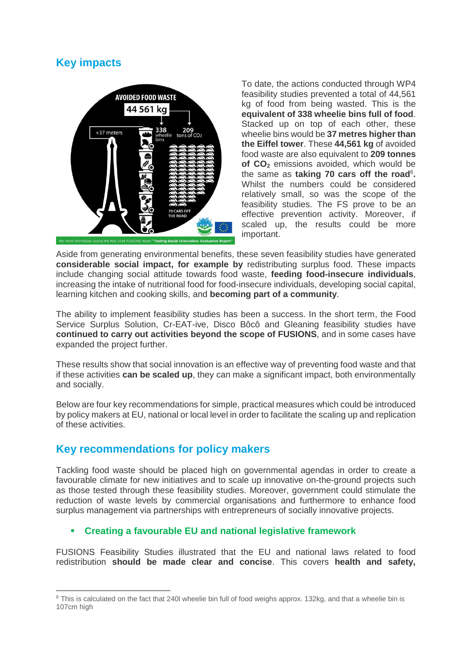## **Key impacts**



To date, the actions conducted through WP4 feasibility studies prevented a total of 44,561 kg of food from being wasted. This is the **equivalent of 338 wheelie bins full of food**. Stacked up on top of each other, these wheelie bins would be **37 metres higher than the Eiffel tower**. These **44,561 kg** of avoided food waste are also equivalent to **209 tonnes of CO<sup>2</sup>** emissions avoided, which would be the same as taking 70 cars off the road<sup>6</sup>. Whilst the numbers could be considered relatively small, so was the scope of the feasibility studies. The FS prove to be an effective prevention activity. Moreover, if scaled up, the results could be more important.

Aside from generating environmental benefits, these seven feasibility studies have generated **considerable social impact, for example by** redistributing surplus food. These impacts include changing social attitude towards food waste, **feeding food-insecure individuals**, increasing the intake of nutritional food for food-insecure individuals, developing social capital, learning kitchen and cooking skills, and **becoming part of a community**.

The ability to implement feasibility studies has been a success. In the short term, the Food Service Surplus Solution, Cr-EAT-ive, Disco Bôcô and Gleaning feasibility studies have **continued to carry out activities beyond the scope of FUSIONS**, and in some cases have expanded the project further.

These results show that social innovation is an effective way of preventing food waste and that if these activities **can be scaled up**, they can make a significant impact, both environmentally and socially.

Below are four key recommendations for simple, practical measures which could be introduced by policy makers at EU, national or local level in order to facilitate the scaling up and replication of these activities.

## **Key recommendations for policy makers**

-

Tackling food waste should be placed high on governmental agendas in order to create a favourable climate for new initiatives and to scale up innovative on-the-ground projects such as those tested through these feasibility studies. Moreover, government could stimulate the reduction of waste levels by commercial organisations and furthermore to enhance food surplus management via partnerships with entrepreneurs of socially innovative projects.

#### **Creating a favourable EU and national legislative framework**

FUSIONS Feasibility Studies illustrated that the EU and national laws related to food redistribution **should be made clear and concise**. This covers **health and safety,** 

 $6$  This is calculated on the fact that 240l wheelie bin full of food weighs approx. 132kg, and that a wheelie bin is 107cm high